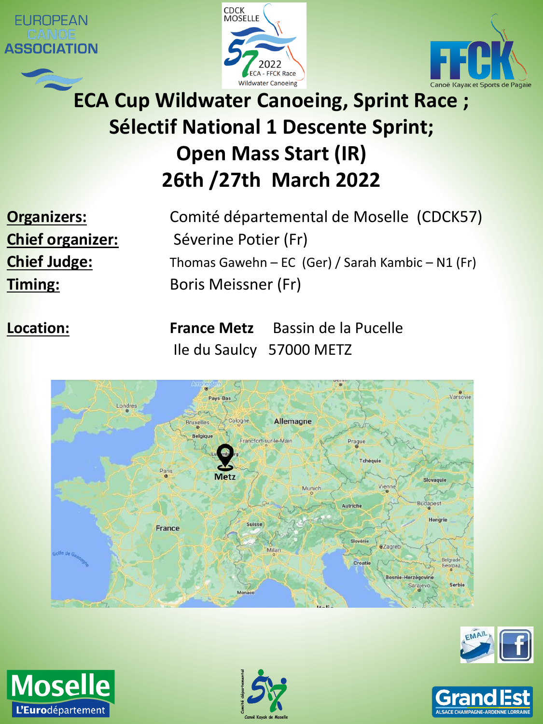







# **ECA Cup Wildwater Canoeing, Sprint Race ; Sélectif National 1 Descente Sprint; Open Mass Start (IR) 26th /27th March 2022**

**Organizers:** Comité départemental de Moselle (CDCK57) **Chief organizer:** Séverine Potier (Fr) **Chief Judge:** Thomas Gawehn – EC (Ger) / Sarah Kambic – N1 (Fr) **Timing:** Boris Meissner (Fr)

**Location: France Metz** Bassin de la Pucelle Ile du Saulcy 57000 METZ









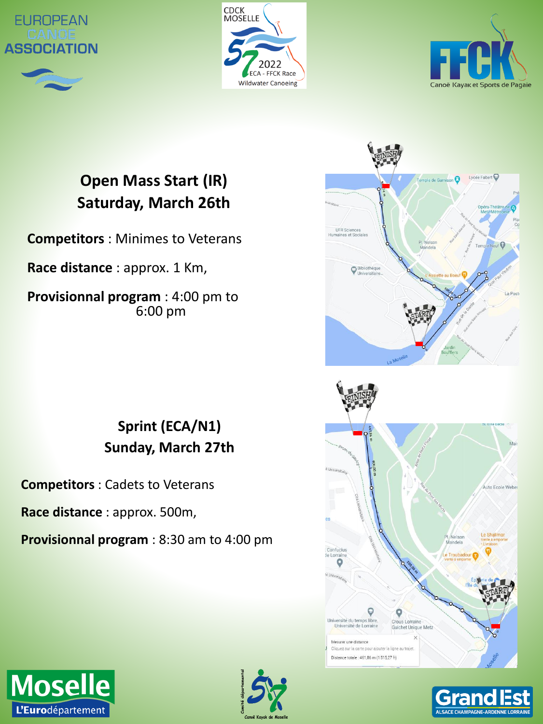







# **Open Mass Start (IR) Saturday, March 26th**

**Competitors** : Minimes to Veterans

**Race distance** : approx. 1 Km,

**Provisionnal program** : 4:00 pm to 6:00 pm



# **Sprint (ECA/N1) Sunday, March 27th**

**Competitors** : Cadets to Veterans

**Race distance** : approx. 500m,

**Provisionnal program** : 8:30 am to 4:00 pm



ALSACE CHAMPAGNE-AI



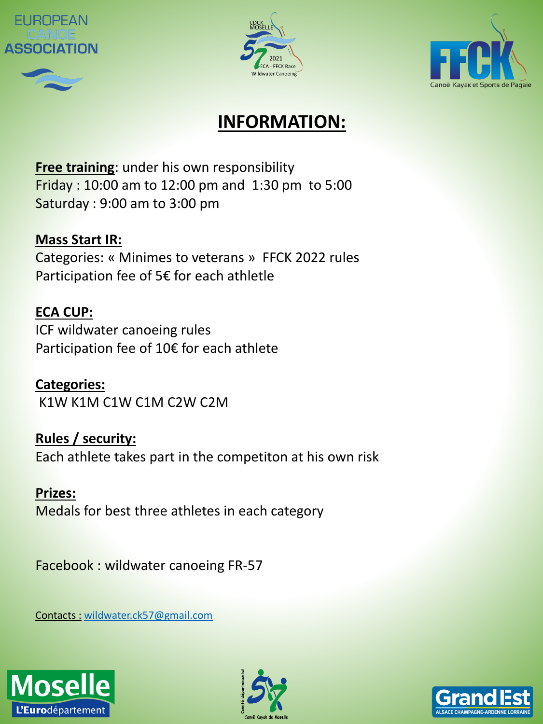







### **INFORMATION:**

**Free training**: under his own responsibility Friday : 10:00 am to 12:00 pm and 1:30 pm to 5:00 Saturday : 9:00 am to 3:00 pm

#### **Mass Start IR:**

Categories: « Minimes to veterans » FFCK 2022 rules Participation fee of 5€ for each athletle

#### **ECA CUP:**

ICF wildwater canoeing rules Participation fee of 10€ for each athlete

**Categories:** K1W K1M C1W C1M C2W C2M

**Rules / security:** Each athlete takes part in the competiton at his own risk

**Prizes:** Medals for best three athletes in each category

Facebook : wildwater canoeing FR-57

Contacts : [wildwater.ck57@gmail.com](mailto:wildwater.ck57@gmail.com)